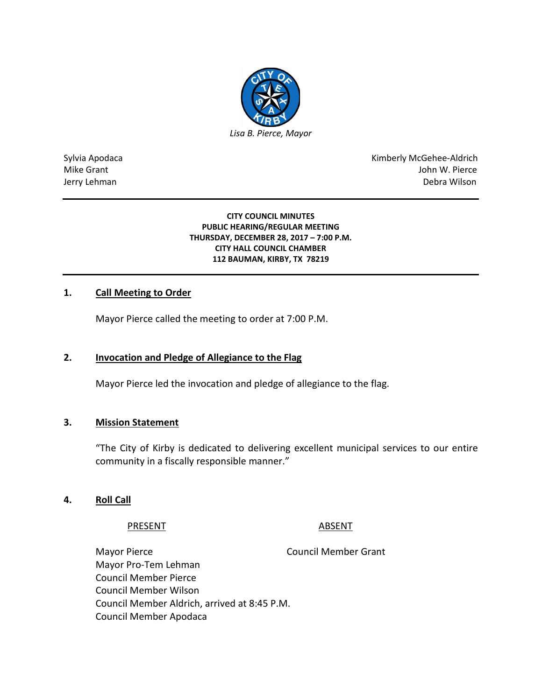

Sylvia Apodaca National Apodaca Kimberly McGehee-Aldrich Mike Grant John W. Pierce Jerry Lehman Debra Wilson

#### **CITY COUNCIL MINUTES PUBLIC HEARING/REGULAR MEETING THURSDAY, DECEMBER 28, 2017 – 7:00 P.M. CITY HALL COUNCIL CHAMBER 112 BAUMAN, KIRBY, TX 78219**

# **1. Call Meeting to Order**

Mayor Pierce called the meeting to order at 7:00 P.M.

# **2. Invocation and Pledge of Allegiance to the Flag**

Mayor Pierce led the invocation and pledge of allegiance to the flag.

# **3. Mission Statement**

"The City of Kirby is dedicated to delivering excellent municipal services to our entire community in a fiscally responsible manner."

# **4. Roll Call**

# PRESENT ABSENT

Mayor Pierce **Council Member Grant** Mayor Pro-Tem Lehman Council Member Pierce Council Member Wilson Council Member Aldrich, arrived at 8:45 P.M. Council Member Apodaca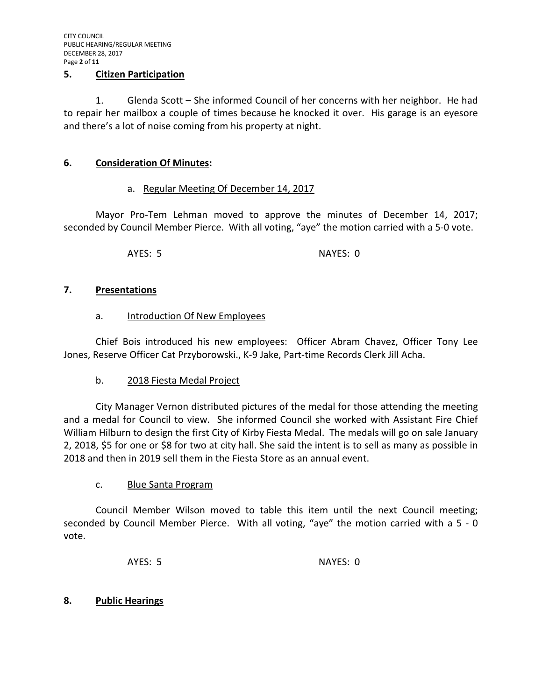#### **5. Citizen Participation**

1. Glenda Scott – She informed Council of her concerns with her neighbor. He had to repair her mailbox a couple of times because he knocked it over. His garage is an eyesore and there's a lot of noise coming from his property at night.

# **6. Consideration Of Minutes:**

# a. Regular Meeting Of December 14, 2017

Mayor Pro-Tem Lehman moved to approve the minutes of December 14, 2017; seconded by Council Member Pierce. With all voting, "aye" the motion carried with a 5-0 vote.

AYES: 5 NAYES: 0

#### **7. Presentations**

#### a. Introduction Of New Employees

Chief Bois introduced his new employees: Officer Abram Chavez, Officer Tony Lee Jones, Reserve Officer Cat Przyborowski., K-9 Jake, Part-time Records Clerk Jill Acha.

# b. 2018 Fiesta Medal Project

City Manager Vernon distributed pictures of the medal for those attending the meeting and a medal for Council to view. She informed Council she worked with Assistant Fire Chief William Hilburn to design the first City of Kirby Fiesta Medal. The medals will go on sale January 2, 2018, \$5 for one or \$8 for two at city hall. She said the intent is to sell as many as possible in 2018 and then in 2019 sell them in the Fiesta Store as an annual event.

# c. Blue Santa Program

Council Member Wilson moved to table this item until the next Council meeting; seconded by Council Member Pierce. With all voting, "aye" the motion carried with a 5 - 0 vote.

AYES: 5 NAYES: 0

#### **8. Public Hearings**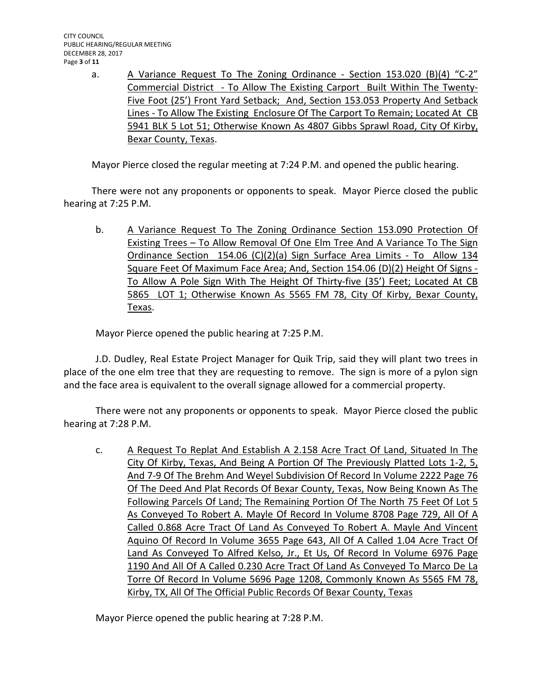a. A Variance Request To The Zoning Ordinance - Section 153.020 (B)(4) "C-2" Commercial District - To Allow The Existing Carport Built Within The Twenty-Five Foot (25') Front Yard Setback; And, Section 153.053 Property And Setback Lines - To Allow The Existing Enclosure Of The Carport To Remain; Located At CB 5941 BLK 5 Lot 51; Otherwise Known As 4807 Gibbs Sprawl Road, City Of Kirby, Bexar County, Texas.

Mayor Pierce closed the regular meeting at 7:24 P.M. and opened the public hearing.

There were not any proponents or opponents to speak. Mayor Pierce closed the public hearing at 7:25 P.M.

b. A Variance Request To The Zoning Ordinance Section 153.090 Protection Of Existing Trees – To Allow Removal Of One Elm Tree And A Variance To The Sign Ordinance Section 154.06 (C)(2)(a) Sign Surface Area Limits - To Allow 134 Square Feet Of Maximum Face Area; And, Section 154.06 (D)(2) Height Of Signs - To Allow A Pole Sign With The Height Of Thirty-five (35') Feet; Located At CB 5865 LOT 1; Otherwise Known As 5565 FM 78, City Of Kirby, Bexar County, Texas.

Mayor Pierce opened the public hearing at 7:25 P.M.

J.D. Dudley, Real Estate Project Manager for Quik Trip, said they will plant two trees in place of the one elm tree that they are requesting to remove. The sign is more of a pylon sign and the face area is equivalent to the overall signage allowed for a commercial property.

There were not any proponents or opponents to speak. Mayor Pierce closed the public hearing at 7:28 P.M.

c. A Request To Replat And Establish A 2.158 Acre Tract Of Land, Situated In The City Of Kirby, Texas, And Being A Portion Of The Previously Platted Lots 1-2, 5, And 7-9 Of The Brehm And Weyel Subdivision Of Record In Volume 2222 Page 76 Of The Deed And Plat Records Of Bexar County, Texas, Now Being Known As The Following Parcels Of Land; The Remaining Portion Of The North 75 Feet Of Lot 5 As Conveyed To Robert A. Mayle Of Record In Volume 8708 Page 729, All Of A Called 0.868 Acre Tract Of Land As Conveyed To Robert A. Mayle And Vincent Aquino Of Record In Volume 3655 Page 643, All Of A Called 1.04 Acre Tract Of Land As Conveyed To Alfred Kelso, Jr., Et Us, Of Record In Volume 6976 Page 1190 And All Of A Called 0.230 Acre Tract Of Land As Conveyed To Marco De La Torre Of Record In Volume 5696 Page 1208, Commonly Known As 5565 FM 78, Kirby, TX, All Of The Official Public Records Of Bexar County, Texas

Mayor Pierce opened the public hearing at 7:28 P.M.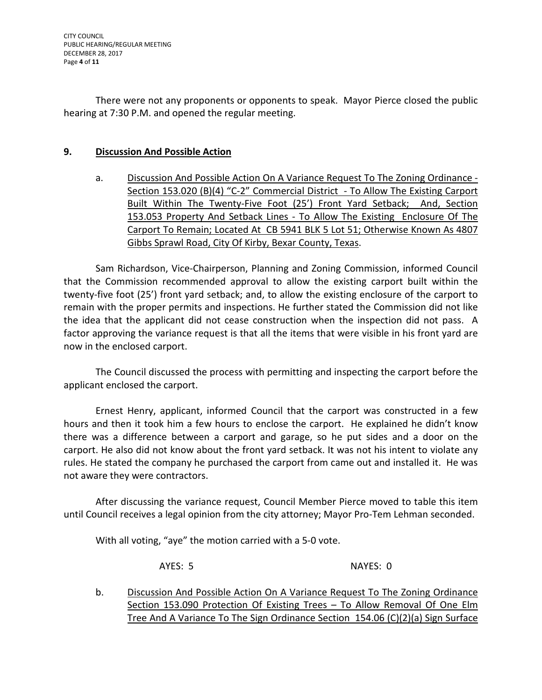There were not any proponents or opponents to speak. Mayor Pierce closed the public hearing at 7:30 P.M. and opened the regular meeting.

# **9. Discussion And Possible Action**

a. Discussion And Possible Action On A Variance Request To The Zoning Ordinance - Section 153.020 (B)(4) "C-2" Commercial District - To Allow The Existing Carport Built Within The Twenty-Five Foot (25') Front Yard Setback; And, Section 153.053 Property And Setback Lines - To Allow The Existing Enclosure Of The Carport To Remain; Located At CB 5941 BLK 5 Lot 51; Otherwise Known As 4807 Gibbs Sprawl Road, City Of Kirby, Bexar County, Texas.

Sam Richardson, Vice-Chairperson, Planning and Zoning Commission, informed Council that the Commission recommended approval to allow the existing carport built within the twenty-five foot (25') front yard setback; and, to allow the existing enclosure of the carport to remain with the proper permits and inspections. He further stated the Commission did not like the idea that the applicant did not cease construction when the inspection did not pass. A factor approving the variance request is that all the items that were visible in his front yard are now in the enclosed carport.

The Council discussed the process with permitting and inspecting the carport before the applicant enclosed the carport.

Ernest Henry, applicant, informed Council that the carport was constructed in a few hours and then it took him a few hours to enclose the carport. He explained he didn't know there was a difference between a carport and garage, so he put sides and a door on the carport. He also did not know about the front yard setback. It was not his intent to violate any rules. He stated the company he purchased the carport from came out and installed it. He was not aware they were contractors.

After discussing the variance request, Council Member Pierce moved to table this item until Council receives a legal opinion from the city attorney; Mayor Pro-Tem Lehman seconded.

With all voting, "aye" the motion carried with a 5-0 vote.

AYES: 5 NAYES: 0

b. Discussion And Possible Action On A Variance Request To The Zoning Ordinance Section 153.090 Protection Of Existing Trees – To Allow Removal Of One Elm Tree And A Variance To The Sign Ordinance Section 154.06 (C)(2)(a) Sign Surface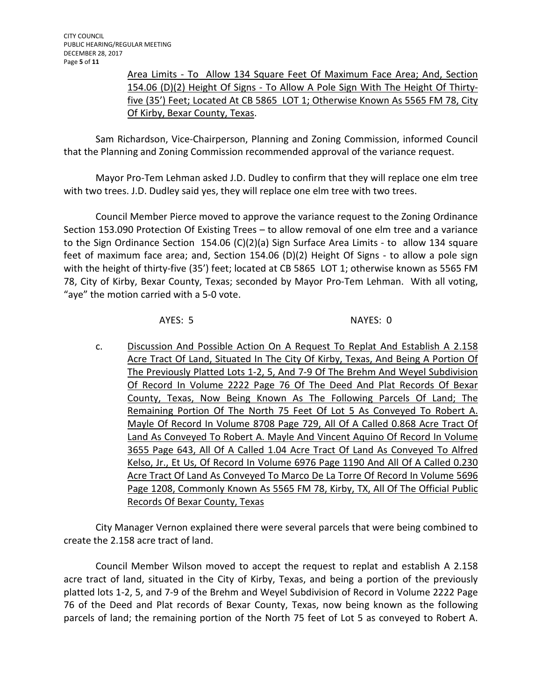Area Limits - To Allow 134 Square Feet Of Maximum Face Area; And, Section 154.06 (D)(2) Height Of Signs - To Allow A Pole Sign With The Height Of Thirtyfive (35') Feet; Located At CB 5865 LOT 1; Otherwise Known As 5565 FM 78, City Of Kirby, Bexar County, Texas.

Sam Richardson, Vice-Chairperson, Planning and Zoning Commission, informed Council that the Planning and Zoning Commission recommended approval of the variance request.

Mayor Pro-Tem Lehman asked J.D. Dudley to confirm that they will replace one elm tree with two trees. J.D. Dudley said yes, they will replace one elm tree with two trees.

Council Member Pierce moved to approve the variance request to the Zoning Ordinance Section 153.090 Protection Of Existing Trees – to allow removal of one elm tree and a variance to the Sign Ordinance Section 154.06 (C)(2)(a) Sign Surface Area Limits - to allow 134 square feet of maximum face area; and, Section 154.06 (D)(2) Height Of Signs - to allow a pole sign with the height of thirty-five (35') feet; located at CB 5865 LOT 1; otherwise known as 5565 FM 78, City of Kirby, Bexar County, Texas; seconded by Mayor Pro-Tem Lehman. With all voting, "aye" the motion carried with a 5-0 vote.

AYES: 5 NAYES: 0

c. Discussion And Possible Action On A Request To Replat And Establish A 2.158 Acre Tract Of Land, Situated In The City Of Kirby, Texas, And Being A Portion Of The Previously Platted Lots 1-2, 5, And 7-9 Of The Brehm And Weyel Subdivision Of Record In Volume 2222 Page 76 Of The Deed And Plat Records Of Bexar County, Texas, Now Being Known As The Following Parcels Of Land; The Remaining Portion Of The North 75 Feet Of Lot 5 As Conveyed To Robert A. Mayle Of Record In Volume 8708 Page 729, All Of A Called 0.868 Acre Tract Of Land As Conveyed To Robert A. Mayle And Vincent Aquino Of Record In Volume 3655 Page 643, All Of A Called 1.04 Acre Tract Of Land As Conveyed To Alfred Kelso, Jr., Et Us, Of Record In Volume 6976 Page 1190 And All Of A Called 0.230 Acre Tract Of Land As Conveyed To Marco De La Torre Of Record In Volume 5696 Page 1208, Commonly Known As 5565 FM 78, Kirby, TX, All Of The Official Public Records Of Bexar County, Texas

City Manager Vernon explained there were several parcels that were being combined to create the 2.158 acre tract of land.

Council Member Wilson moved to accept the request to replat and establish A 2.158 acre tract of land, situated in the City of Kirby, Texas, and being a portion of the previously platted lots 1-2, 5, and 7-9 of the Brehm and Weyel Subdivision of Record in Volume 2222 Page 76 of the Deed and Plat records of Bexar County, Texas, now being known as the following parcels of land; the remaining portion of the North 75 feet of Lot 5 as conveyed to Robert A.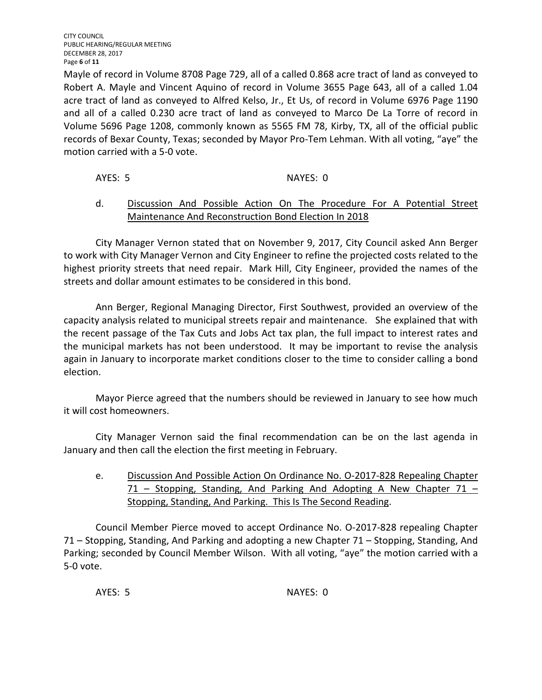CITY COUNCIL PUBLIC HEARING/REGULAR MEETING DECEMBER 28, 2017 Page **6** of **11**

Mayle of record in Volume 8708 Page 729, all of a called 0.868 acre tract of land as conveyed to Robert A. Mayle and Vincent Aquino of record in Volume 3655 Page 643, all of a called 1.04 acre tract of land as conveyed to Alfred Kelso, Jr., Et Us, of record in Volume 6976 Page 1190 and all of a called 0.230 acre tract of land as conveyed to Marco De La Torre of record in Volume 5696 Page 1208, commonly known as 5565 FM 78, Kirby, TX, all of the official public records of Bexar County, Texas; seconded by Mayor Pro-Tem Lehman. With all voting, "aye" the motion carried with a 5-0 vote.

AYES: 5 NAYES: 0

# d. Discussion And Possible Action On The Procedure For A Potential Street Maintenance And Reconstruction Bond Election In 2018

City Manager Vernon stated that on November 9, 2017, City Council asked Ann Berger to work with City Manager Vernon and City Engineer to refine the projected costs related to the highest priority streets that need repair. Mark Hill, City Engineer, provided the names of the streets and dollar amount estimates to be considered in this bond.

Ann Berger, Regional Managing Director, First Southwest, provided an overview of the capacity analysis related to municipal streets repair and maintenance. She explained that with the recent passage of the Tax Cuts and Jobs Act tax plan, the full impact to interest rates and the municipal markets has not been understood. It may be important to revise the analysis again in January to incorporate market conditions closer to the time to consider calling a bond election.

Mayor Pierce agreed that the numbers should be reviewed in January to see how much it will cost homeowners.

City Manager Vernon said the final recommendation can be on the last agenda in January and then call the election the first meeting in February.

e. Discussion And Possible Action On Ordinance No. O-2017-828 Repealing Chapter 71 – Stopping, Standing, And Parking And Adopting A New Chapter 71 – Stopping, Standing, And Parking. This Is The Second Reading.

Council Member Pierce moved to accept Ordinance No. O-2017-828 repealing Chapter 71 – Stopping, Standing, And Parking and adopting a new Chapter 71 – Stopping, Standing, And Parking; seconded by Council Member Wilson. With all voting, "aye" the motion carried with a 5-0 vote.

AYES: 5 NAYES: 0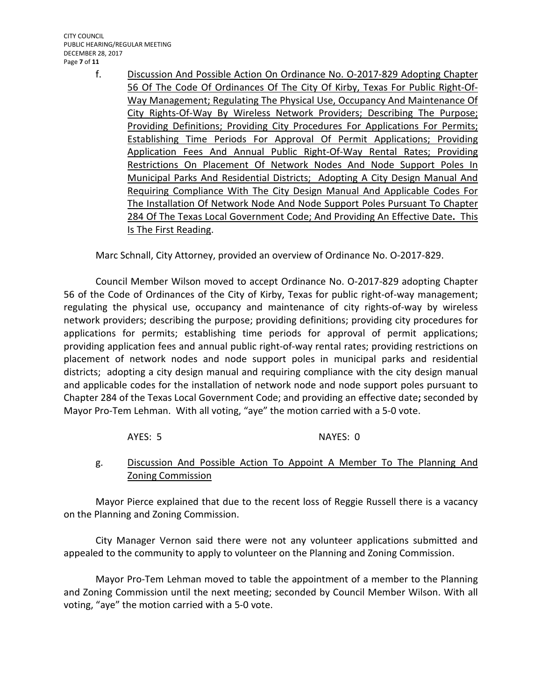- - f. Discussion And Possible Action On Ordinance No. O-2017-829 Adopting Chapter 56 Of The Code Of Ordinances Of The City Of Kirby, Texas For Public Right-Of-Way Management; Regulating The Physical Use, Occupancy And Maintenance Of City Rights-Of-Way By Wireless Network Providers; Describing The Purpose; Providing Definitions; Providing City Procedures For Applications For Permits; Establishing Time Periods For Approval Of Permit Applications; Providing Application Fees And Annual Public Right-Of-Way Rental Rates; Providing Restrictions On Placement Of Network Nodes And Node Support Poles In Municipal Parks And Residential Districts; Adopting A City Design Manual And Requiring Compliance With The City Design Manual And Applicable Codes For The Installation Of Network Node And Node Support Poles Pursuant To Chapter 284 Of The Texas Local Government Code; And Providing An Effective Date**.** This Is The First Reading.

Marc Schnall, City Attorney, provided an overview of Ordinance No. O-2017-829.

Council Member Wilson moved to accept Ordinance No. O-2017-829 adopting Chapter 56 of the Code of Ordinances of the City of Kirby, Texas for public right-of-way management; regulating the physical use, occupancy and maintenance of city rights-of-way by wireless network providers; describing the purpose; providing definitions; providing city procedures for applications for permits; establishing time periods for approval of permit applications; providing application fees and annual public right-of-way rental rates; providing restrictions on placement of network nodes and node support poles in municipal parks and residential districts; adopting a city design manual and requiring compliance with the city design manual and applicable codes for the installation of network node and node support poles pursuant to Chapter 284 of the Texas Local Government Code; and providing an effective date**;** seconded by Mayor Pro-Tem Lehman.With all voting, "aye" the motion carried with a 5-0 vote.

# AYES: 5 NAYES: 0

# g. Discussion And Possible Action To Appoint A Member To The Planning And Zoning Commission

Mayor Pierce explained that due to the recent loss of Reggie Russell there is a vacancy on the Planning and Zoning Commission.

City Manager Vernon said there were not any volunteer applications submitted and appealed to the community to apply to volunteer on the Planning and Zoning Commission.

Mayor Pro-Tem Lehman moved to table the appointment of a member to the Planning and Zoning Commission until the next meeting; seconded by Council Member Wilson. With all voting, "aye" the motion carried with a 5-0 vote.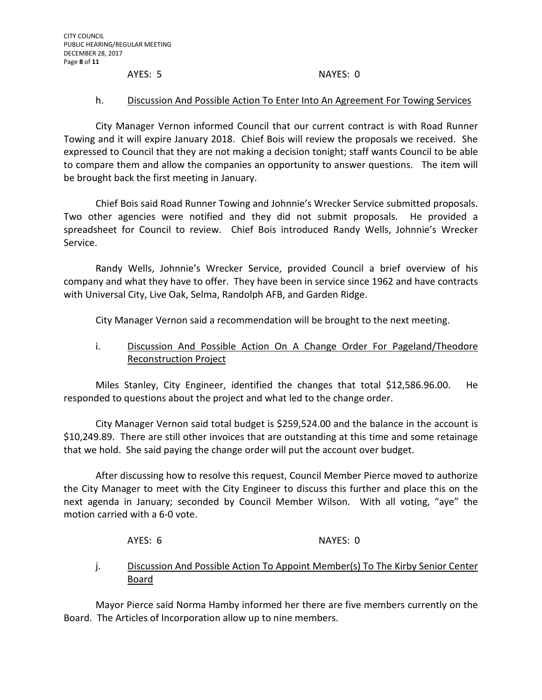#### AYES: 5 NAYES: 0

#### h. Discussion And Possible Action To Enter Into An Agreement For Towing Services

City Manager Vernon informed Council that our current contract is with Road Runner Towing and it will expire January 2018. Chief Bois will review the proposals we received. She expressed to Council that they are not making a decision tonight; staff wants Council to be able to compare them and allow the companies an opportunity to answer questions. The item will be brought back the first meeting in January.

Chief Bois said Road Runner Towing and Johnnie's Wrecker Service submitted proposals. Two other agencies were notified and they did not submit proposals. He provided a spreadsheet for Council to review. Chief Bois introduced Randy Wells, Johnnie's Wrecker Service.

Randy Wells, Johnnie's Wrecker Service, provided Council a brief overview of his company and what they have to offer. They have been in service since 1962 and have contracts with Universal City, Live Oak, Selma, Randolph AFB, and Garden Ridge.

City Manager Vernon said a recommendation will be brought to the next meeting.

# i. Discussion And Possible Action On A Change Order For Pageland/Theodore Reconstruction Project

Miles Stanley, City Engineer, identified the changes that total \$12,586.96.00. He responded to questions about the project and what led to the change order.

City Manager Vernon said total budget is \$259,524.00 and the balance in the account is \$10,249.89. There are still other invoices that are outstanding at this time and some retainage that we hold. She said paying the change order will put the account over budget.

After discussing how to resolve this request, Council Member Pierce moved to authorize the City Manager to meet with the City Engineer to discuss this further and place this on the next agenda in January; seconded by Council Member Wilson. With all voting, "aye" the motion carried with a 6-0 vote.

AYES: 6 NAYES: 0

# j. Discussion And Possible Action To Appoint Member(s) To The Kirby Senior Center Board

Mayor Pierce said Norma Hamby informed her there are five members currently on the Board. The Articles of Incorporation allow up to nine members.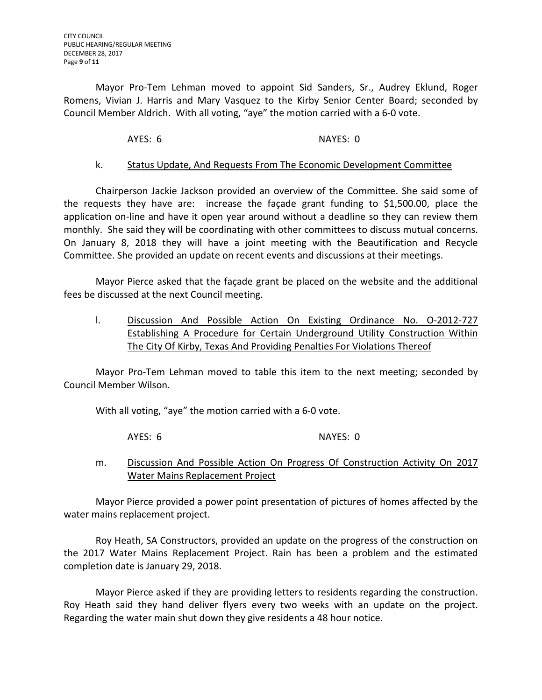Mayor Pro-Tem Lehman moved to appoint Sid Sanders, Sr., Audrey Eklund, Roger Romens, Vivian J. Harris and Mary Vasquez to the Kirby Senior Center Board; seconded by Council Member Aldrich. With all voting, "aye" the motion carried with a 6-0 vote.

# AYES: 6 NAYES: 0

# k. Status Update, And Requests From The Economic Development Committee

Chairperson Jackie Jackson provided an overview of the Committee. She said some of the requests they have are: increase the façade grant funding to \$1,500.00, place the application on-line and have it open year around without a deadline so they can review them monthly. She said they will be coordinating with other committees to discuss mutual concerns. On January 8, 2018 they will have a joint meeting with the Beautification and Recycle Committee. She provided an update on recent events and discussions at their meetings.

Mayor Pierce asked that the façade grant be placed on the website and the additional fees be discussed at the next Council meeting.

l. Discussion And Possible Action On Existing Ordinance No. O-2012-727 Establishing A Procedure for Certain Underground Utility Construction Within The City Of Kirby, Texas And Providing Penalties For Violations Thereof

Mayor Pro-Tem Lehman moved to table this item to the next meeting; seconded by Council Member Wilson.

With all voting, "aye" the motion carried with a 6-0 vote.

AYES: 6 NAYES: 0

m. Discussion And Possible Action On Progress Of Construction Activity On 2017 Water Mains Replacement Project

Mayor Pierce provided a power point presentation of pictures of homes affected by the water mains replacement project.

Roy Heath, SA Constructors, provided an update on the progress of the construction on the 2017 Water Mains Replacement Project. Rain has been a problem and the estimated completion date is January 29, 2018.

Mayor Pierce asked if they are providing letters to residents regarding the construction. Roy Heath said they hand deliver flyers every two weeks with an update on the project. Regarding the water main shut down they give residents a 48 hour notice.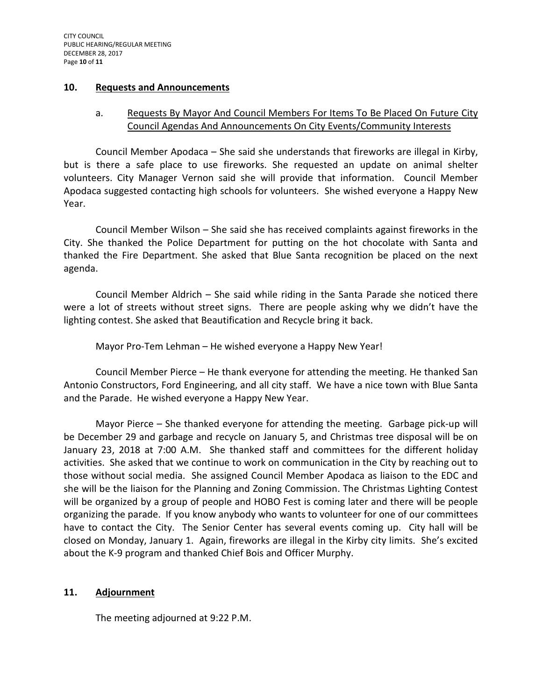#### **10. Requests and Announcements**

# a. Requests By Mayor And Council Members For Items To Be Placed On Future City Council Agendas And Announcements On City Events/Community Interests

Council Member Apodaca – She said she understands that fireworks are illegal in Kirby, but is there a safe place to use fireworks. She requested an update on animal shelter volunteers. City Manager Vernon said she will provide that information. Council Member Apodaca suggested contacting high schools for volunteers. She wished everyone a Happy New Year.

Council Member Wilson – She said she has received complaints against fireworks in the City. She thanked the Police Department for putting on the hot chocolate with Santa and thanked the Fire Department. She asked that Blue Santa recognition be placed on the next agenda.

Council Member Aldrich – She said while riding in the Santa Parade she noticed there were a lot of streets without street signs. There are people asking why we didn't have the lighting contest. She asked that Beautification and Recycle bring it back.

Mayor Pro-Tem Lehman – He wished everyone a Happy New Year!

Council Member Pierce – He thank everyone for attending the meeting. He thanked San Antonio Constructors, Ford Engineering, and all city staff. We have a nice town with Blue Santa and the Parade. He wished everyone a Happy New Year.

Mayor Pierce – She thanked everyone for attending the meeting. Garbage pick-up will be December 29 and garbage and recycle on January 5, and Christmas tree disposal will be on January 23, 2018 at 7:00 A.M. She thanked staff and committees for the different holiday activities. She asked that we continue to work on communication in the City by reaching out to those without social media. She assigned Council Member Apodaca as liaison to the EDC and she will be the liaison for the Planning and Zoning Commission. The Christmas Lighting Contest will be organized by a group of people and HOBO Fest is coming later and there will be people organizing the parade. If you know anybody who wants to volunteer for one of our committees have to contact the City. The Senior Center has several events coming up. City hall will be closed on Monday, January 1. Again, fireworks are illegal in the Kirby city limits. She's excited about the K-9 program and thanked Chief Bois and Officer Murphy.

# **11. Adjournment**

The meeting adjourned at 9:22 P.M.